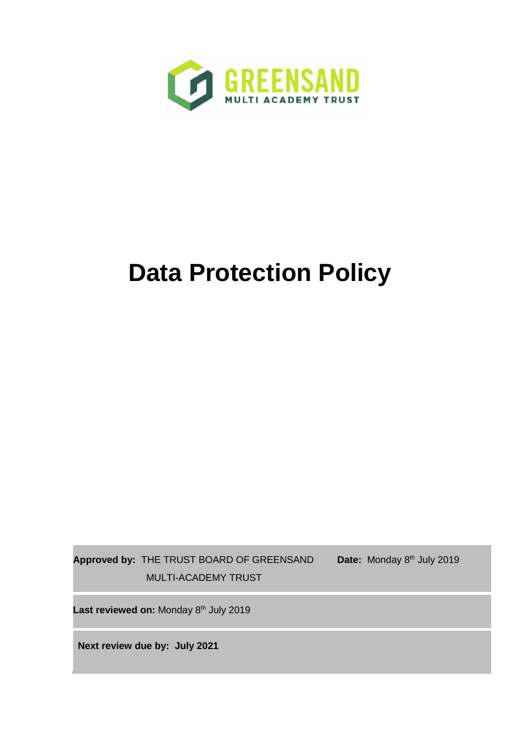

# **Data Protection Policy**

**Approved by:** THE TRUST BOARD OF GREENSAND MULTI-ACADEMY TRUST

Date: Monday 8<sup>th</sup> July 2019

Last reviewed on: Monday 8<sup>th</sup> July 2019

**Next review due by: July 2021**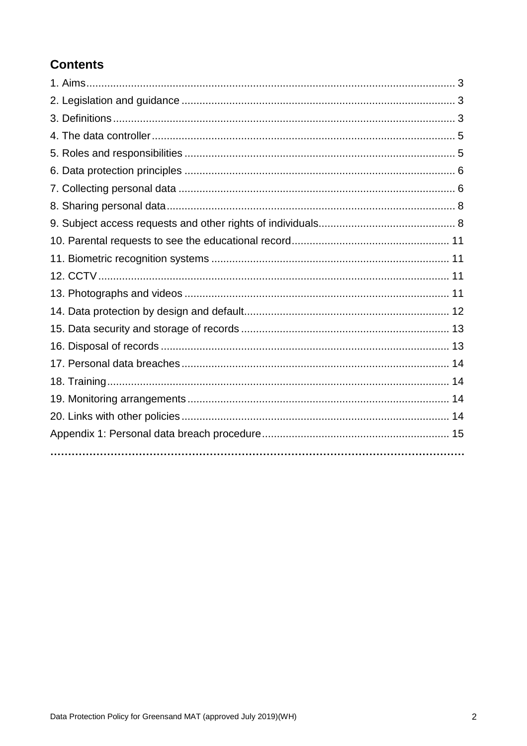# **Contents**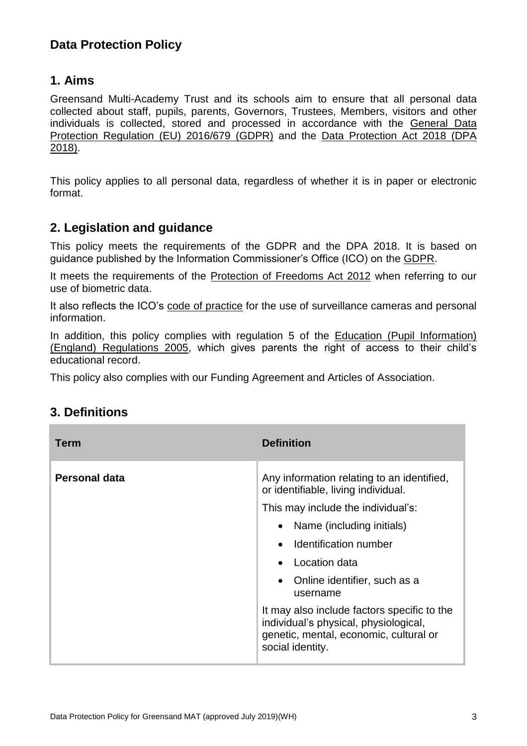# **Data Protection Policy**

## **1. Aims**

Greensand Multi-Academy Trust and its schools aim to ensure that all personal data collected about staff, pupils, parents, Governors, Trustees, Members, visitors and other individuals is collected, stored and processed in accordance with the [General Data](http://data.consilium.europa.eu/doc/document/ST-5419-2016-INIT/en/pdf)  [Protection Regulation \(EU\) 2016/679 \(GDPR\)](http://data.consilium.europa.eu/doc/document/ST-5419-2016-INIT/en/pdf) and the [Data Protection Act 2018 \(DPA](http://www.legislation.gov.uk/ukpga/2018/12/contents/enacted)  [2018\).](http://www.legislation.gov.uk/ukpga/2018/12/contents/enacted)

This policy applies to all personal data, regardless of whether it is in paper or electronic format.

## **2. Legislation and guidance**

This policy meets the requirements of the GDPR and the DPA 2018. It is based on guidance published by the Information Commissioner's Office (ICO) on the [GDPR.](https://ico.org.uk/for-organisations/guide-to-the-general-data-protection-regulation-gdpr/)

It meets the requirements of the [Protection of Freedoms Act 2012](https://www.legislation.gov.uk/ukpga/2012/9/part/1/chapter/2) when referring to our use of biometric data.

It also reflects the ICO's [code of practice](https://ico.org.uk/media/for-organisations/documents/1542/cctv-code-of-practice.pdf) for the use of surveillance cameras and personal information.

In addition, this policy complies with regulation 5 of the Education (Pupil Information) [\(England\) Regulations 2005,](http://www.legislation.gov.uk/uksi/2005/1437/regulation/5/made) which gives parents the right of access to their child's educational record.

This policy also complies with our Funding Agreement and Articles of Association.

## **3. Definitions**

| <b>Term</b>          | <b>Definition</b>                                                                                                                                                                                                                                                                                                                                                                                                            |
|----------------------|------------------------------------------------------------------------------------------------------------------------------------------------------------------------------------------------------------------------------------------------------------------------------------------------------------------------------------------------------------------------------------------------------------------------------|
| <b>Personal data</b> | Any information relating to an identified,<br>or identifiable, living individual.<br>This may include the individual's:<br>• Name (including initials)<br>Identification number<br>$\bullet$<br>Location data<br>Online identifier, such as a<br>$\bullet$<br>username<br>It may also include factors specific to the<br>individual's physical, physiological,<br>genetic, mental, economic, cultural or<br>social identity. |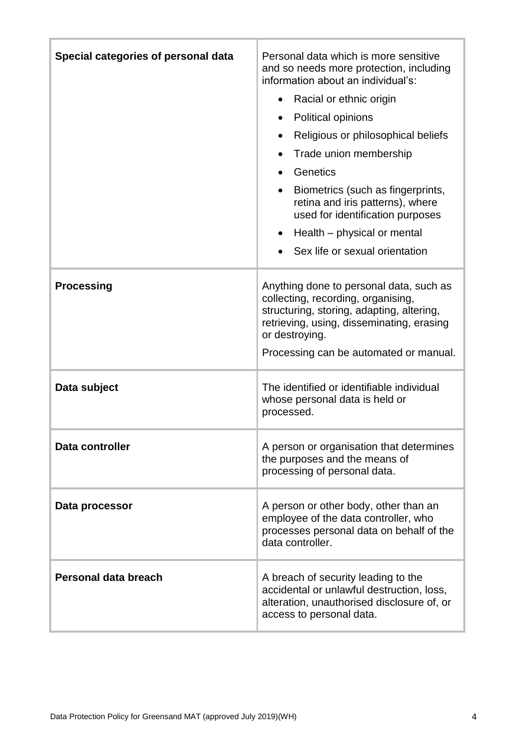| Special categories of personal data | Personal data which is more sensitive<br>and so needs more protection, including<br>information about an individual's:<br>Racial or ethnic origin<br>$\bullet$<br>Political opinions<br>Religious or philosophical beliefs<br>Trade union membership<br>Genetics<br>Biometrics (such as fingerprints,<br>retina and iris patterns), where<br>used for identification purposes<br>Health – physical or mental<br>Sex life or sexual orientation |
|-------------------------------------|------------------------------------------------------------------------------------------------------------------------------------------------------------------------------------------------------------------------------------------------------------------------------------------------------------------------------------------------------------------------------------------------------------------------------------------------|
| <b>Processing</b>                   | Anything done to personal data, such as<br>collecting, recording, organising,<br>structuring, storing, adapting, altering,<br>retrieving, using, disseminating, erasing<br>or destroying.<br>Processing can be automated or manual.                                                                                                                                                                                                            |
| Data subject                        | The identified or identifiable individual<br>whose personal data is held or<br>processed.                                                                                                                                                                                                                                                                                                                                                      |
| Data controller                     | A person or organisation that determines<br>the purposes and the means of<br>processing of personal data.                                                                                                                                                                                                                                                                                                                                      |
| Data processor                      | A person or other body, other than an<br>employee of the data controller, who<br>processes personal data on behalf of the<br>data controller.                                                                                                                                                                                                                                                                                                  |
| Personal data breach                | A breach of security leading to the<br>accidental or unlawful destruction, loss,<br>alteration, unauthorised disclosure of, or<br>access to personal data.                                                                                                                                                                                                                                                                                     |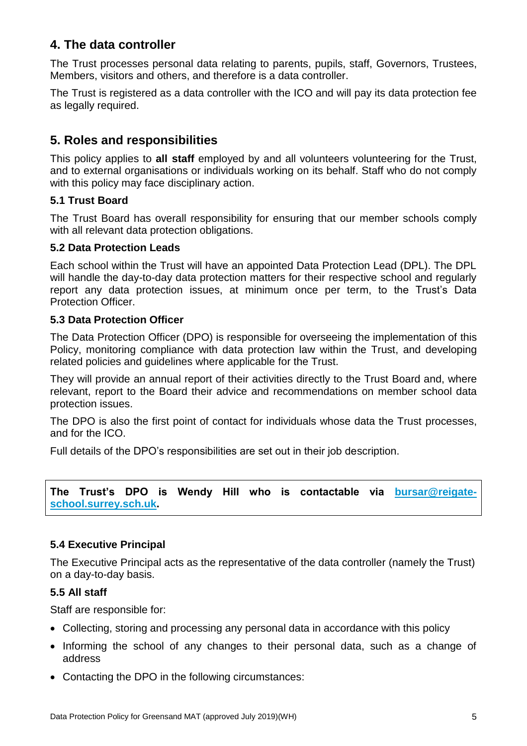# **4. The data controller**

The Trust processes personal data relating to parents, pupils, staff, Governors, Trustees, Members, visitors and others, and therefore is a data controller.

The Trust is registered as a data controller with the ICO and will pay its data protection fee as legally required.

## **5. Roles and responsibilities**

This policy applies to **all staff** employed by and all volunteers volunteering for the Trust, and to external organisations or individuals working on its behalf. Staff who do not comply with this policy may face disciplinary action.

#### **5.1 Trust Board**

The Trust Board has overall responsibility for ensuring that our member schools comply with all relevant data protection obligations.

#### **5.2 Data Protection Leads**

Each school within the Trust will have an appointed Data Protection Lead (DPL). The DPL will handle the day-to-day data protection matters for their respective school and regularly report any data protection issues, at minimum once per term, to the Trust's Data Protection Officer.

#### **5.3 Data Protection Officer**

The Data Protection Officer (DPO) is responsible for overseeing the implementation of this Policy, monitoring compliance with data protection law within the Trust, and developing related policies and guidelines where applicable for the Trust.

They will provide an annual report of their activities directly to the Trust Board and, where relevant, report to the Board their advice and recommendations on member school data protection issues.

The DPO is also the first point of contact for individuals whose data the Trust processes, and for the ICO.

Full details of the DPO's responsibilities are set out in their job description.

**The Trust's DPO is Wendy Hill who is contactable via [bursar@reigate](mailto:bursar@reigate-school.surrey.sch.uk)[school.surrey.sch.uk.](mailto:bursar@reigate-school.surrey.sch.uk)**

#### **5.4 Executive Principal**

The Executive Principal acts as the representative of the data controller (namely the Trust) on a day-to-day basis.

#### **5.5 All staff**

Staff are responsible for:

- Collecting, storing and processing any personal data in accordance with this policy
- Informing the school of any changes to their personal data, such as a change of address
- Contacting the DPO in the following circumstances: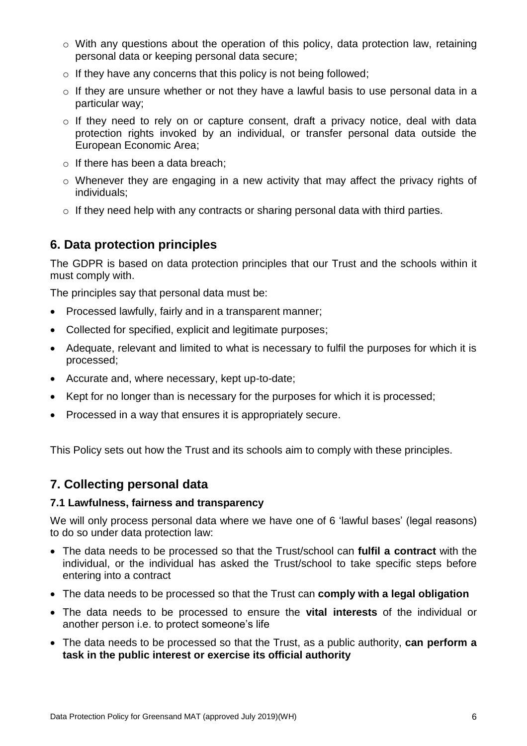- o With any questions about the operation of this policy, data protection law, retaining personal data or keeping personal data secure;
- $\circ$  If they have any concerns that this policy is not being followed;
- o If they are unsure whether or not they have a lawful basis to use personal data in a particular way;
- o If they need to rely on or capture consent, draft a privacy notice, deal with data protection rights invoked by an individual, or transfer personal data outside the European Economic Area;
- $\circ$  If there has been a data breach;
- o Whenever they are engaging in a new activity that may affect the privacy rights of individuals;
- $\circ$  If they need help with any contracts or sharing personal data with third parties.

## **6. Data protection principles**

The GDPR is based on data protection principles that our Trust and the schools within it must comply with.

The principles say that personal data must be:

- Processed lawfully, fairly and in a transparent manner;
- Collected for specified, explicit and legitimate purposes;
- Adequate, relevant and limited to what is necessary to fulfil the purposes for which it is processed;
- Accurate and, where necessary, kept up-to-date;
- Kept for no longer than is necessary for the purposes for which it is processed;
- Processed in a way that ensures it is appropriately secure.

This Policy sets out how the Trust and its schools aim to comply with these principles.

## **7. Collecting personal data**

#### **7.1 Lawfulness, fairness and transparency**

We will only process personal data where we have one of 6 'lawful bases' (legal reasons) to do so under data protection law:

- The data needs to be processed so that the Trust/school can **fulfil a contract** with the individual, or the individual has asked the Trust/school to take specific steps before entering into a contract
- The data needs to be processed so that the Trust can **comply with a legal obligation**
- The data needs to be processed to ensure the **vital interests** of the individual or another person i.e. to protect someone's life
- The data needs to be processed so that the Trust, as a public authority, **can perform a task in the public interest or exercise its official authority**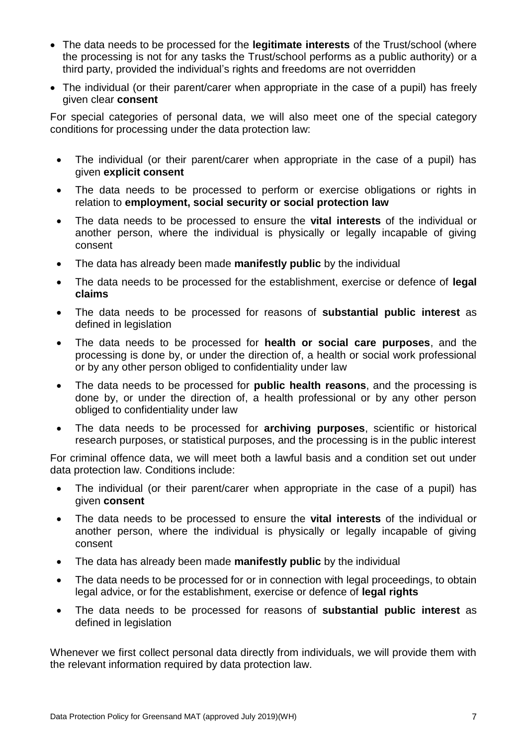- The data needs to be processed for the **legitimate interests** of the Trust/school (where the processing is not for any tasks the Trust/school performs as a public authority) or a third party, provided the individual's rights and freedoms are not overridden
- The individual (or their parent/carer when appropriate in the case of a pupil) has freely given clear **consent**

For special categories of personal data, we will also meet one of the special category conditions for processing under the data protection law:

- The individual (or their parent/carer when appropriate in the case of a pupil) has given **explicit consent**
- The data needs to be processed to perform or exercise obligations or rights in relation to **employment, social security or social protection law**
- The data needs to be processed to ensure the **vital interests** of the individual or another person, where the individual is physically or legally incapable of giving consent
- The data has already been made **manifestly public** by the individual
- The data needs to be processed for the establishment, exercise or defence of **legal claims**
- The data needs to be processed for reasons of **substantial public interest** as defined in legislation
- The data needs to be processed for **health or social care purposes**, and the processing is done by, or under the direction of, a health or social work professional or by any other person obliged to confidentiality under law
- The data needs to be processed for **public health reasons**, and the processing is done by, or under the direction of, a health professional or by any other person obliged to confidentiality under law
- The data needs to be processed for **archiving purposes**, scientific or historical research purposes, or statistical purposes, and the processing is in the public interest

For criminal offence data, we will meet both a lawful basis and a condition set out under data protection law. Conditions include:

- The individual (or their parent/carer when appropriate in the case of a pupil) has given **consent**
- The data needs to be processed to ensure the **vital interests** of the individual or another person, where the individual is physically or legally incapable of giving consent
- The data has already been made **manifestly public** by the individual
- The data needs to be processed for or in connection with legal proceedings, to obtain legal advice, or for the establishment, exercise or defence of **legal rights**
- The data needs to be processed for reasons of **substantial public interest** as defined in legislation

Whenever we first collect personal data directly from individuals, we will provide them with the relevant information required by data protection law.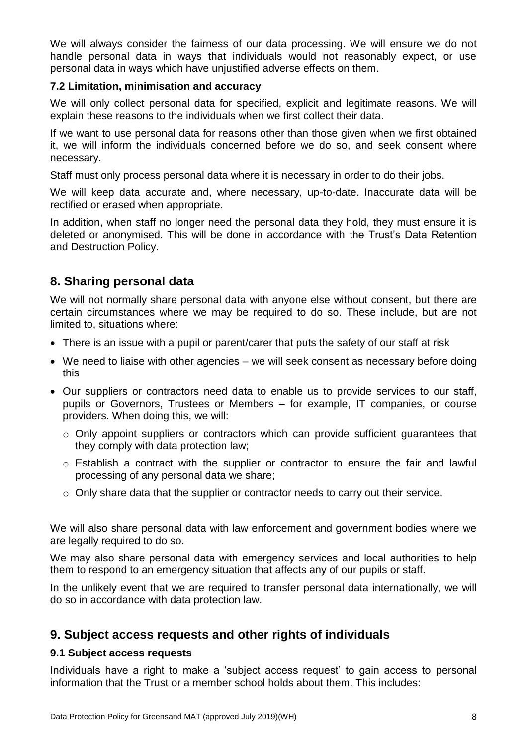We will always consider the fairness of our data processing. We will ensure we do not handle personal data in ways that individuals would not reasonably expect, or use personal data in ways which have unjustified adverse effects on them.

#### **7.2 Limitation, minimisation and accuracy**

We will only collect personal data for specified, explicit and legitimate reasons. We will explain these reasons to the individuals when we first collect their data.

If we want to use personal data for reasons other than those given when we first obtained it, we will inform the individuals concerned before we do so, and seek consent where necessary.

Staff must only process personal data where it is necessary in order to do their jobs.

We will keep data accurate and, where necessary, up-to-date. Inaccurate data will be rectified or erased when appropriate.

In addition, when staff no longer need the personal data they hold, they must ensure it is deleted or anonymised. This will be done in accordance with the Trust's Data Retention and Destruction Policy.

## **8. Sharing personal data**

We will not normally share personal data with anyone else without consent, but there are certain circumstances where we may be required to do so. These include, but are not limited to, situations where:

- There is an issue with a pupil or parent/carer that puts the safety of our staff at risk
- We need to liaise with other agencies we will seek consent as necessary before doing this
- Our suppliers or contractors need data to enable us to provide services to our staff, pupils or Governors, Trustees or Members – for example, IT companies, or course providers. When doing this, we will:
	- o Only appoint suppliers or contractors which can provide sufficient guarantees that they comply with data protection law;
	- o Establish a contract with the supplier or contractor to ensure the fair and lawful processing of any personal data we share;
	- o Only share data that the supplier or contractor needs to carry out their service.

We will also share personal data with law enforcement and government bodies where we are legally required to do so.

We may also share personal data with emergency services and local authorities to help them to respond to an emergency situation that affects any of our pupils or staff.

In the unlikely event that we are required to transfer personal data internationally, we will do so in accordance with data protection law.

## **9. Subject access requests and other rights of individuals**

#### **9.1 Subject access requests**

Individuals have a right to make a 'subject access request' to gain access to personal information that the Trust or a member school holds about them. This includes: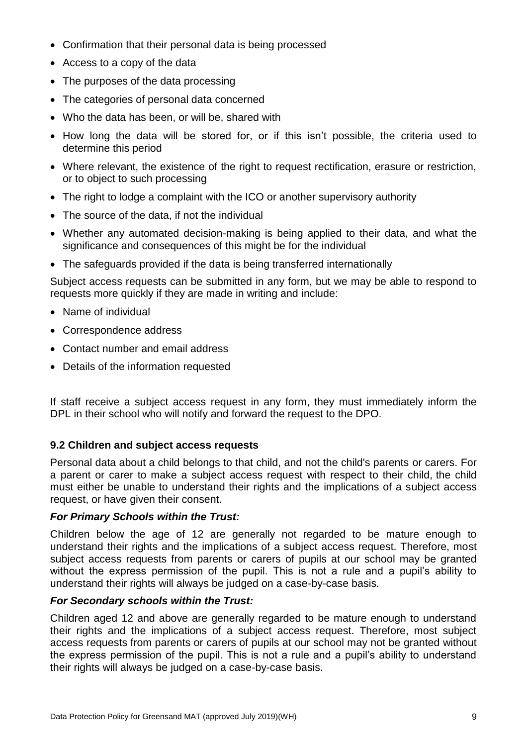- Confirmation that their personal data is being processed
- Access to a copy of the data
- The purposes of the data processing
- The categories of personal data concerned
- Who the data has been, or will be, shared with
- How long the data will be stored for, or if this isn't possible, the criteria used to determine this period
- Where relevant, the existence of the right to request rectification, erasure or restriction, or to object to such processing
- The right to lodge a complaint with the ICO or another supervisory authority
- The source of the data, if not the individual
- Whether any automated decision-making is being applied to their data, and what the significance and consequences of this might be for the individual
- The safeguards provided if the data is being transferred internationally

Subject access requests can be submitted in any form, but we may be able to respond to requests more quickly if they are made in writing and include:

- Name of individual
- Correspondence address
- Contact number and email address
- Details of the information requested

If staff receive a subject access request in any form, they must immediately inform the DPL in their school who will notify and forward the request to the DPO.

#### **9.2 Children and subject access requests**

Personal data about a child belongs to that child, and not the child's parents or carers. For a parent or carer to make a subject access request with respect to their child, the child must either be unable to understand their rights and the implications of a subject access request, or have given their consent.

#### *For Primary Schools within the Trust:*

Children below the age of 12 are generally not regarded to be mature enough to understand their rights and the implications of a subject access request. Therefore, most subject access requests from parents or carers of pupils at our school may be granted without the express permission of the pupil. This is not a rule and a pupil's ability to understand their rights will always be judged on a case-by-case basis.

#### *For Secondary schools within the Trust:*

Children aged 12 and above are generally regarded to be mature enough to understand their rights and the implications of a subject access request. Therefore, most subject access requests from parents or carers of pupils at our school may not be granted without the express permission of the pupil. This is not a rule and a pupil's ability to understand their rights will always be judged on a case-by-case basis.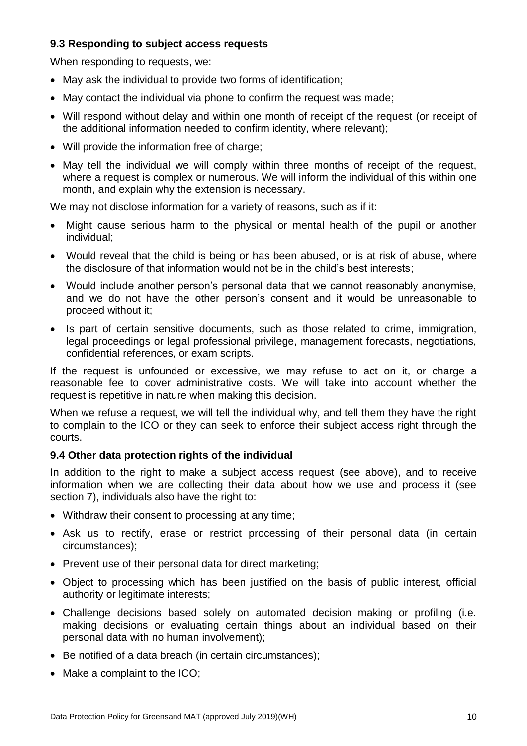#### **9.3 Responding to subject access requests**

When responding to requests, we:

- May ask the individual to provide two forms of identification;
- May contact the individual via phone to confirm the request was made;
- Will respond without delay and within one month of receipt of the request (or receipt of the additional information needed to confirm identity, where relevant);
- Will provide the information free of charge;
- May tell the individual we will comply within three months of receipt of the request, where a request is complex or numerous. We will inform the individual of this within one month, and explain why the extension is necessary.

We may not disclose information for a variety of reasons, such as if it:

- Might cause serious harm to the physical or mental health of the pupil or another individual;
- Would reveal that the child is being or has been abused, or is at risk of abuse, where the disclosure of that information would not be in the child's best interests;
- Would include another person's personal data that we cannot reasonably anonymise, and we do not have the other person's consent and it would be unreasonable to proceed without it;
- Is part of certain sensitive documents, such as those related to crime, immigration, legal proceedings or legal professional privilege, management forecasts, negotiations, confidential references, or exam scripts.

If the request is unfounded or excessive, we may refuse to act on it, or charge a reasonable fee to cover administrative costs. We will take into account whether the request is repetitive in nature when making this decision.

When we refuse a request, we will tell the individual why, and tell them they have the right to complain to the ICO or they can seek to enforce their subject access right through the courts.

#### **9.4 Other data protection rights of the individual**

In addition to the right to make a subject access request (see above), and to receive information when we are collecting their data about how we use and process it (see section 7), individuals also have the right to:

- Withdraw their consent to processing at any time;
- Ask us to rectify, erase or restrict processing of their personal data (in certain circumstances);
- Prevent use of their personal data for direct marketing;
- Object to processing which has been justified on the basis of public interest, official authority or legitimate interests;
- Challenge decisions based solely on automated decision making or profiling (i.e. making decisions or evaluating certain things about an individual based on their personal data with no human involvement);
- Be notified of a data breach (in certain circumstances);
- Make a complaint to the ICO;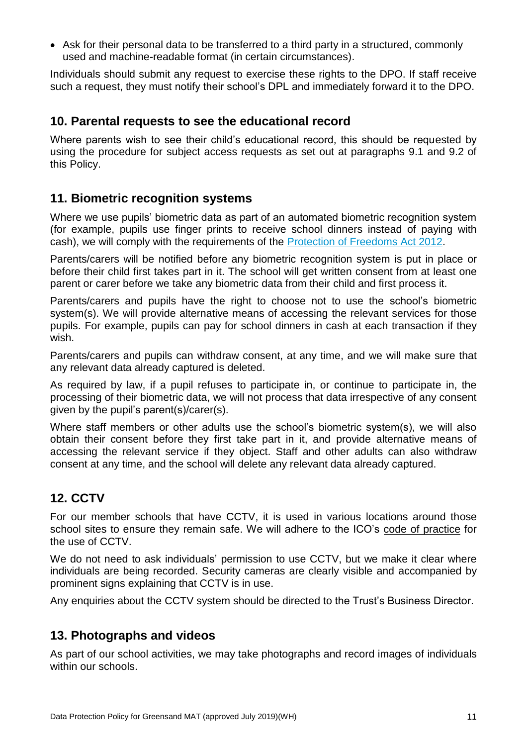• Ask for their personal data to be transferred to a third party in a structured, commonly used and machine-readable format (in certain circumstances).

Individuals should submit any request to exercise these rights to the DPO. If staff receive such a request, they must notify their school's DPL and immediately forward it to the DPO.

## **10. Parental requests to see the educational record**

Where parents wish to see their child's educational record, this should be requested by using the procedure for subject access requests as set out at paragraphs 9.1 and 9.2 of this Policy.

## **11. Biometric recognition systems**

Where we use pupils' biometric data as part of an automated biometric recognition system (for example, pupils use finger prints to receive school dinners instead of paying with cash), we will comply with the requirements of the [Protection of Freedoms Act 2012.](https://www.legislation.gov.uk/ukpga/2012/9/section/26)

Parents/carers will be notified before any biometric recognition system is put in place or before their child first takes part in it. The school will get written consent from at least one parent or carer before we take any biometric data from their child and first process it.

Parents/carers and pupils have the right to choose not to use the school's biometric system(s). We will provide alternative means of accessing the relevant services for those pupils. For example, pupils can pay for school dinners in cash at each transaction if they wish.

Parents/carers and pupils can withdraw consent, at any time, and we will make sure that any relevant data already captured is deleted.

As required by law, if a pupil refuses to participate in, or continue to participate in, the processing of their biometric data, we will not process that data irrespective of any consent given by the pupil's parent(s)/carer(s).

Where staff members or other adults use the school's biometric system(s), we will also obtain their consent before they first take part in it, and provide alternative means of accessing the relevant service if they object. Staff and other adults can also withdraw consent at any time, and the school will delete any relevant data already captured.

# **12. CCTV**

For our member schools that have CCTV, it is used in various locations around those school sites to ensure they remain safe. We will adhere to the ICO's [code of practice](https://ico.org.uk/media/for-organisations/documents/1542/cctv-code-of-practice.pdf) for the use of CCTV.

We do not need to ask individuals' permission to use CCTV, but we make it clear where individuals are being recorded. Security cameras are clearly visible and accompanied by prominent signs explaining that CCTV is in use.

Any enquiries about the CCTV system should be directed to the Trust's Business Director.

# **13. Photographs and videos**

As part of our school activities, we may take photographs and record images of individuals within our schools.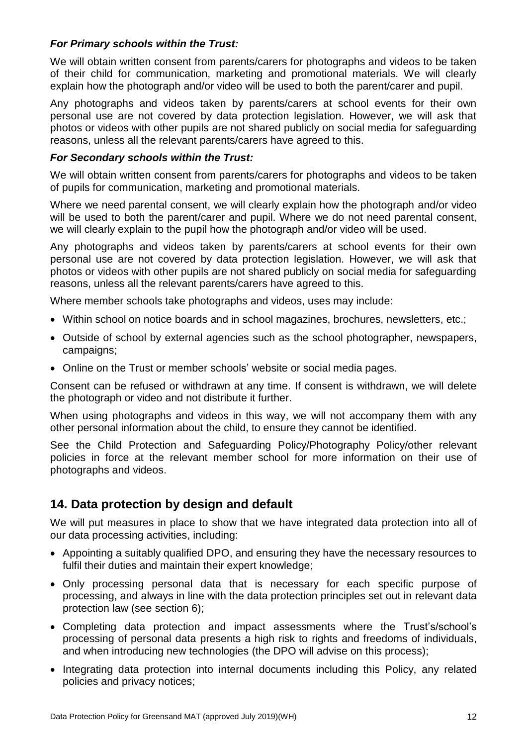#### *For Primary schools within the Trust:*

We will obtain written consent from parents/carers for photographs and videos to be taken of their child for communication, marketing and promotional materials. We will clearly explain how the photograph and/or video will be used to both the parent/carer and pupil.

Any photographs and videos taken by parents/carers at school events for their own personal use are not covered by data protection legislation. However, we will ask that photos or videos with other pupils are not shared publicly on social media for safeguarding reasons, unless all the relevant parents/carers have agreed to this.

#### *For Secondary schools within the Trust:*

We will obtain written consent from parents/carers for photographs and videos to be taken of pupils for communication, marketing and promotional materials.

Where we need parental consent, we will clearly explain how the photograph and/or video will be used to both the parent/carer and pupil. Where we do not need parental consent, we will clearly explain to the pupil how the photograph and/or video will be used.

Any photographs and videos taken by parents/carers at school events for their own personal use are not covered by data protection legislation. However, we will ask that photos or videos with other pupils are not shared publicly on social media for safeguarding reasons, unless all the relevant parents/carers have agreed to this.

Where member schools take photographs and videos, uses may include:

- Within school on notice boards and in school magazines, brochures, newsletters, etc.;
- Outside of school by external agencies such as the school photographer, newspapers, campaigns;
- Online on the Trust or member schools' website or social media pages.

Consent can be refused or withdrawn at any time. If consent is withdrawn, we will delete the photograph or video and not distribute it further.

When using photographs and videos in this way, we will not accompany them with any other personal information about the child, to ensure they cannot be identified.

See the Child Protection and Safeguarding Policy/Photography Policy/other relevant policies in force at the relevant member school for more information on their use of photographs and videos.

## **14. Data protection by design and default**

We will put measures in place to show that we have integrated data protection into all of our data processing activities, including:

- Appointing a suitably qualified DPO, and ensuring they have the necessary resources to fulfil their duties and maintain their expert knowledge;
- Only processing personal data that is necessary for each specific purpose of processing, and always in line with the data protection principles set out in relevant data protection law (see section 6);
- Completing data protection and impact assessments where the Trust's/school's processing of personal data presents a high risk to rights and freedoms of individuals, and when introducing new technologies (the DPO will advise on this process);
- Integrating data protection into internal documents including this Policy, any related policies and privacy notices;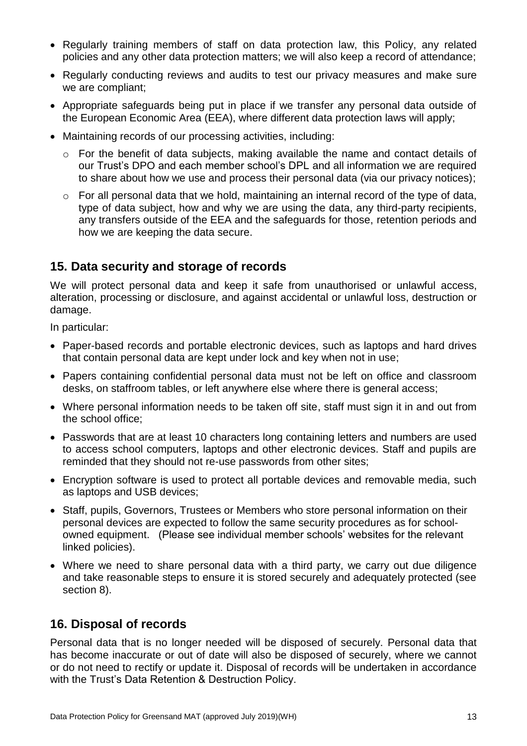- Regularly training members of staff on data protection law, this Policy, any related policies and any other data protection matters; we will also keep a record of attendance;
- Regularly conducting reviews and audits to test our privacy measures and make sure we are compliant;
- Appropriate safeguards being put in place if we transfer any personal data outside of the European Economic Area (EEA), where different data protection laws will apply;
- Maintaining records of our processing activities, including:
	- o For the benefit of data subjects, making available the name and contact details of our Trust's DPO and each member school's DPL and all information we are required to share about how we use and process their personal data (via our privacy notices);
	- o For all personal data that we hold, maintaining an internal record of the type of data, type of data subject, how and why we are using the data, any third-party recipients, any transfers outside of the EEA and the safeguards for those, retention periods and how we are keeping the data secure.

## **15. Data security and storage of records**

We will protect personal data and keep it safe from unauthorised or unlawful access, alteration, processing or disclosure, and against accidental or unlawful loss, destruction or damage.

In particular:

- Paper-based records and portable electronic devices, such as laptops and hard drives that contain personal data are kept under lock and key when not in use;
- Papers containing confidential personal data must not be left on office and classroom desks, on staffroom tables, or left anywhere else where there is general access;
- Where personal information needs to be taken off site, staff must sign it in and out from the school office;
- Passwords that are at least 10 characters long containing letters and numbers are used to access school computers, laptops and other electronic devices. Staff and pupils are reminded that they should not re-use passwords from other sites;
- Encryption software is used to protect all portable devices and removable media, such as laptops and USB devices;
- Staff, pupils, Governors, Trustees or Members who store personal information on their personal devices are expected to follow the same security procedures as for schoolowned equipment. (Please see individual member schools' websites for the relevant linked policies).
- Where we need to share personal data with a third party, we carry out due diligence and take reasonable steps to ensure it is stored securely and adequately protected (see section 8).

## **16. Disposal of records**

Personal data that is no longer needed will be disposed of securely. Personal data that has become inaccurate or out of date will also be disposed of securely, where we cannot or do not need to rectify or update it. Disposal of records will be undertaken in accordance with the Trust's Data Retention & Destruction Policy.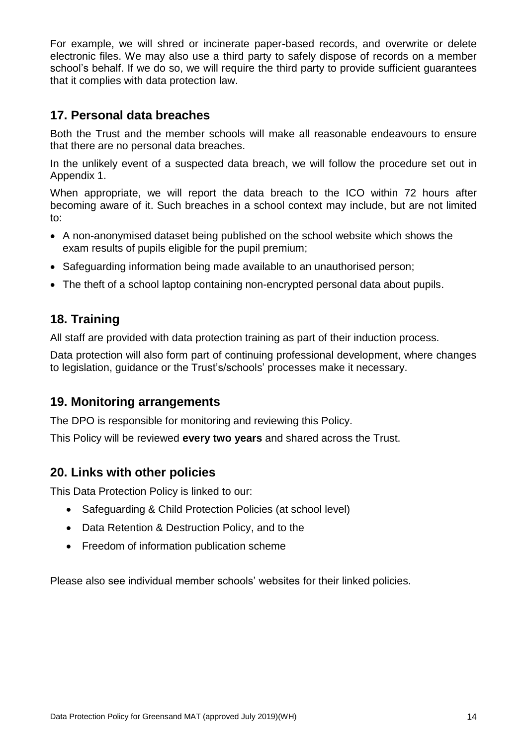For example, we will shred or incinerate paper-based records, and overwrite or delete electronic files. We may also use a third party to safely dispose of records on a member school's behalf. If we do so, we will require the third party to provide sufficient guarantees that it complies with data protection law.

# **17. Personal data breaches**

Both the Trust and the member schools will make all reasonable endeavours to ensure that there are no personal data breaches.

In the unlikely event of a suspected data breach, we will follow the procedure set out in Appendix 1.

When appropriate, we will report the data breach to the ICO within 72 hours after becoming aware of it. Such breaches in a school context may include, but are not limited to:

- A non-anonymised dataset being published on the school website which shows the exam results of pupils eligible for the pupil premium;
- Safeguarding information being made available to an unauthorised person;
- The theft of a school laptop containing non-encrypted personal data about pupils.

# **18. Training**

All staff are provided with data protection training as part of their induction process.

Data protection will also form part of continuing professional development, where changes to legislation, guidance or the Trust's/schools' processes make it necessary.

# **19. Monitoring arrangements**

The DPO is responsible for monitoring and reviewing this Policy.

This Policy will be reviewed **every two years** and shared across the Trust.

# **20. Links with other policies**

This Data Protection Policy is linked to our:

- Safeguarding & Child Protection Policies (at school level)
- Data Retention & Destruction Policy, and to the
- Freedom of information publication scheme

Please also see individual member schools' websites for their linked policies.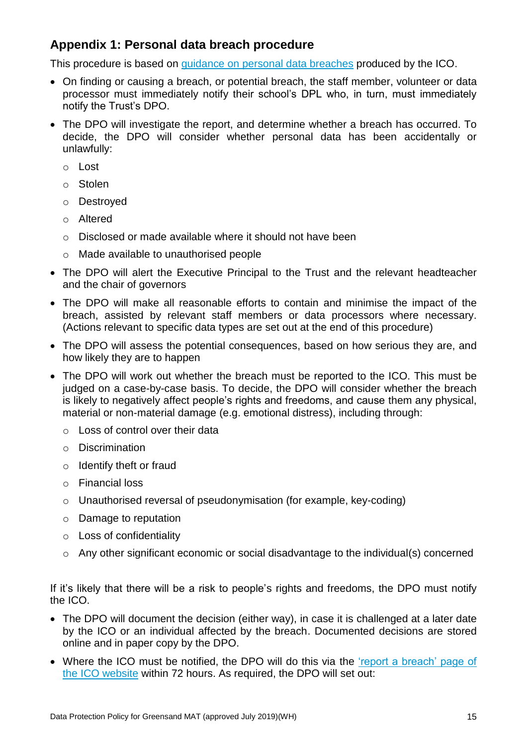# **Appendix 1: Personal data breach procedure**

This procedure is based on [guidance on personal data breaches](https://ico.org.uk/for-organisations/guide-to-the-general-data-protection-regulation-gdpr/personal-data-breaches/) produced by the ICO.

- On finding or causing a breach, or potential breach, the staff member, volunteer or data processor must immediately notify their school's DPL who, in turn, must immediately notify the Trust's DPO.
- The DPO will investigate the report, and determine whether a breach has occurred. To decide, the DPO will consider whether personal data has been accidentally or unlawfully:
	- o Lost
	- o Stolen
	- o Destroyed
	- o Altered
	- o Disclosed or made available where it should not have been
	- o Made available to unauthorised people
- The DPO will alert the Executive Principal to the Trust and the relevant headteacher and the chair of governors
- The DPO will make all reasonable efforts to contain and minimise the impact of the breach, assisted by relevant staff members or data processors where necessary. (Actions relevant to specific data types are set out at the end of this procedure)
- The DPO will assess the potential consequences, based on how serious they are, and how likely they are to happen
- The DPO will work out whether the breach must be reported to the ICO. This must be judged on a case-by-case basis. To decide, the DPO will consider whether the breach is likely to negatively affect people's rights and freedoms, and cause them any physical, material or non-material damage (e.g. emotional distress), including through:
	- o Loss of control over their data
	- o Discrimination
	- o Identify theft or fraud
	- o Financial loss
	- o Unauthorised reversal of pseudonymisation (for example, key-coding)
	- o Damage to reputation
	- o Loss of confidentiality
	- o Any other significant economic or social disadvantage to the individual(s) concerned

If it's likely that there will be a risk to people's rights and freedoms, the DPO must notify the ICO.

- The DPO will document the decision (either way), in case it is challenged at a later date by the ICO or an individual affected by the breach. Documented decisions are stored online and in paper copy by the DPO.
- Where the ICO must be notified, the DPO will do this via the 'report a breach' page of [the ICO website](https://ico.org.uk/for-organisations/report-a-breach/) within 72 hours. As required, the DPO will set out: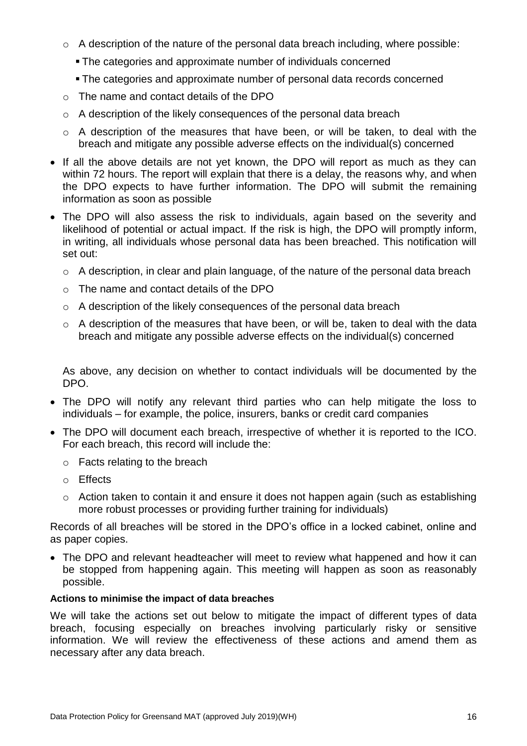- o A description of the nature of the personal data breach including, where possible:
	- The categories and approximate number of individuals concerned
	- The categories and approximate number of personal data records concerned
- o The name and contact details of the DPO
- $\circ$  A description of the likely consequences of the personal data breach
- o A description of the measures that have been, or will be taken, to deal with the breach and mitigate any possible adverse effects on the individual(s) concerned
- If all the above details are not yet known, the DPO will report as much as they can within 72 hours. The report will explain that there is a delay, the reasons why, and when the DPO expects to have further information. The DPO will submit the remaining information as soon as possible
- The DPO will also assess the risk to individuals, again based on the severity and likelihood of potential or actual impact. If the risk is high, the DPO will promptly inform, in writing, all individuals whose personal data has been breached. This notification will set out:
	- o A description, in clear and plain language, of the nature of the personal data breach
	- o The name and contact details of the DPO
	- o A description of the likely consequences of the personal data breach
	- o A description of the measures that have been, or will be, taken to deal with the data breach and mitigate any possible adverse effects on the individual(s) concerned

As above, any decision on whether to contact individuals will be documented by the DPO.

- The DPO will notify any relevant third parties who can help mitigate the loss to individuals – for example, the police, insurers, banks or credit card companies
- The DPO will document each breach, irrespective of whether it is reported to the ICO. For each breach, this record will include the:
	- o Facts relating to the breach
	- o Effects
	- $\circ$  Action taken to contain it and ensure it does not happen again (such as establishing more robust processes or providing further training for individuals)

Records of all breaches will be stored in the DPO's office in a locked cabinet, online and as paper copies.

 The DPO and relevant headteacher will meet to review what happened and how it can be stopped from happening again. This meeting will happen as soon as reasonably possible.

#### **Actions to minimise the impact of data breaches**

We will take the actions set out below to mitigate the impact of different types of data breach, focusing especially on breaches involving particularly risky or sensitive information. We will review the effectiveness of these actions and amend them as necessary after any data breach.